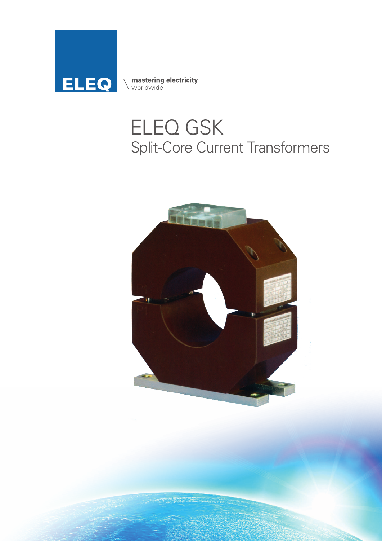

**mastering electricity**<br>
worldwide

## ELEQ GSK Split-Core Current Transformers

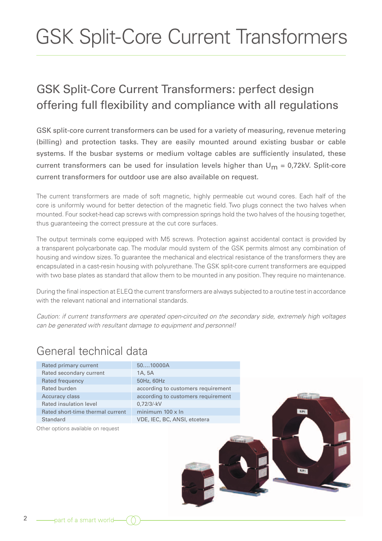# GSK Split-Core Current Transformers

### GSK Split-Core Current Transformers: perfect design offering full flexibility and compliance with all regulations

GSK split-core current transformers can be used for a variety of measuring, revenue metering (billing) and protection tasks. They are easily mounted around existing busbar or cable systems. If the busbar systems or medium voltage cables are sufficiently insulated, these current transformers can be used for insulation levels higher than  $U_m = 0.72kV$ . Split-core current transformers for outdoor use are also available on request.

The current transformers are made of soft magnetic, highly permeable cut wound cores. Each half of the core is uniformly wound for better detection of the magnetic field. Two plugs connect the two halves when mounted. Four socket-head cap screws with compression springs hold the two halves of the housing together, thus guaranteeing the correct pressure at the cut core surfaces.

The output terminals come equipped with M5 screws. Protection against accidental contact is provided by a transparent polycarbonate cap. The modular mould system of the GSK permits almost any combination of housing and window sizes. To guarantee the mechanical and electrical resistance of the transformers they are encapsulated in a cast-resin housing with polyurethane. The GSK split-core current transformers are equipped with two base plates as standard that allow them to be mounted in any position. They require no maintenance.

During the final inspection at ELEQ the current transformers are always subjected to a routine test in accordance with the relevant national and international standards.

*Caution: if current transformers are operated open-circuited on the secondary side, extremely high voltages can be generated with resultant damage to equipment and personnel!*

#### General technical data

| Rated primary current<br>Rated secondary current | 5010000A<br>1A, 5A                 |                  |
|--------------------------------------------------|------------------------------------|------------------|
| Rated frequency                                  | 50Hz, 60Hz                         |                  |
| Rated burden                                     | according to customers requirement |                  |
| Accuracy class                                   | according to customers requirement |                  |
| Rated insulation level                           | $0,72/3-kV$                        |                  |
| Rated short-time thermal current                 | minimum $100 \times \ln$           | K/P <sub>1</sub> |
| Standard                                         | VDE, IEC, BC, ANSI, etcetera       |                  |
|                                                  |                                    |                  |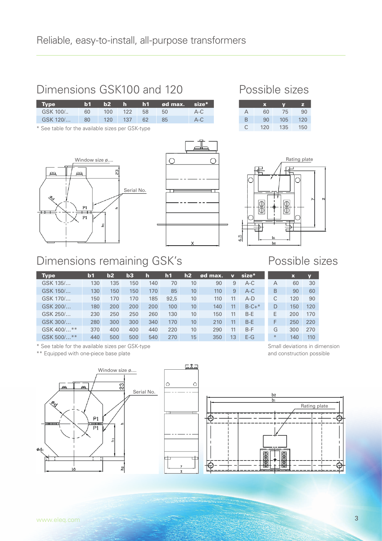#### Dimensions GSK100 and 120

| Two      | וזהו | $\mathbf{b2}$ | ∴h.     | . h1 . | ⊌ ød max. size <sup>*</sup> |       |
|----------|------|---------------|---------|--------|-----------------------------|-------|
| GSK 100/ | 60.  | 100           | $-122$  | -58    | 50                          | $A-C$ |
| GSK 120/ | -80  |               | 120 137 | 62     | 85                          | A-C   |
|          |      |               |         |        |                             |       |

\* See table for the available sizes per GSK-type





#### Possible sizes

|   | $\mathbf x$ | V   | z   |
|---|-------------|-----|-----|
| А | 60          | 75  | 90  |
| B | 90          | 105 | 120 |
| Œ | 120         | 135 | 150 |



#### Dimensions remaining GSK's

| Type              | b <sub>1</sub> | b2  | b3  | h   | h1   | h2 | ød max. | $\overline{\mathbf{v}}$ | size*   |               |
|-------------------|----------------|-----|-----|-----|------|----|---------|-------------------------|---------|---------------|
| GSK 135/          | 130            | 135 | 150 | 140 | 70   | 10 | 90      | 9                       | $A-C$   | А             |
| GSK 150/          | 130            | 150 | 150 | 170 | 85   | 10 | 110     | 9                       | $A-C$   | B             |
| GSK 170/          | 150            | 170 | 170 | 185 | 92.5 | 10 | 110     | 11                      | $A-D$   |               |
| GSK 200/          | 180            | 200 | 200 | 200 | 100  | 10 | 140     | 11                      | $B-C+*$ | D             |
| GSK 250/          | 230            | 250 | 250 | 260 | 130  | 10 | 150     | 11                      | $B-F$   | Е             |
| GSK 300/          | 280            | 300 | 300 | 340 | 170  | 10 | 210     | 11                      | $B-F$   | F             |
| GSK 400/**        | 370            | 400 | 400 | 440 | 220  | 10 | 290     | 11                      | $B-F$   | G             |
| $* *$<br>GSK 500/ | 440            | 500 | 500 | 540 | 270  | 15 | 350     | 13                      | $F-G$   | $\frac{1}{2}$ |

\* See table for the available sizes per GSK-type

\*\* Equipped with one-piece base plate



Small deviations in dimension and construction possible



**SAN HOT WAS CITED FOR THE REAL PROPERTY**